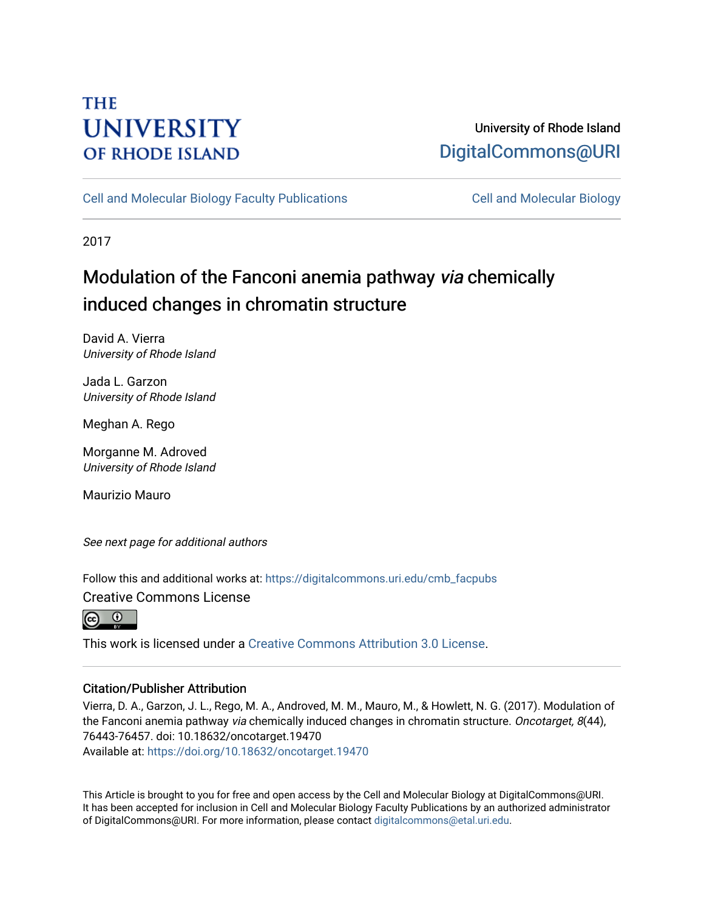# **THE UNIVERSITY OF RHODE ISLAND**

# University of Rhode Island [DigitalCommons@URI](https://digitalcommons.uri.edu/)

[Cell and Molecular Biology Faculty Publications](https://digitalcommons.uri.edu/cmb_facpubs) [Cell and Molecular Biology](https://digitalcommons.uri.edu/cmb) 

2017

# Modulation of the Fanconi anemia pathway via chemically induced changes in chromatin structure

David A. Vierra University of Rhode Island

Jada L. Garzon University of Rhode Island

Meghan A. Rego

Morganne M. Adroved University of Rhode Island

Maurizio Mauro

See next page for additional authors

Follow this and additional works at: [https://digitalcommons.uri.edu/cmb\\_facpubs](https://digitalcommons.uri.edu/cmb_facpubs?utm_source=digitalcommons.uri.edu%2Fcmb_facpubs%2F92&utm_medium=PDF&utm_campaign=PDFCoverPages) 

Creative Commons License

 $\odot$   $\odot$ 

This work is licensed under a [Creative Commons Attribution 3.0 License](https://creativecommons.org/licenses/by/3.0/).

# Citation/Publisher Attribution

Vierra, D. A., Garzon, J. L., Rego, M. A., Androved, M. M., Mauro, M., & Howlett, N. G. (2017). Modulation of the Fanconi anemia pathway via chemically induced changes in chromatin structure. Oncotarget, 8(44), 76443-76457. doi: 10.18632/oncotarget.19470

Available at:<https://doi.org/10.18632/oncotarget.19470>

This Article is brought to you for free and open access by the Cell and Molecular Biology at DigitalCommons@URI. It has been accepted for inclusion in Cell and Molecular Biology Faculty Publications by an authorized administrator of DigitalCommons@URI. For more information, please contact [digitalcommons@etal.uri.edu](mailto:digitalcommons@etal.uri.edu).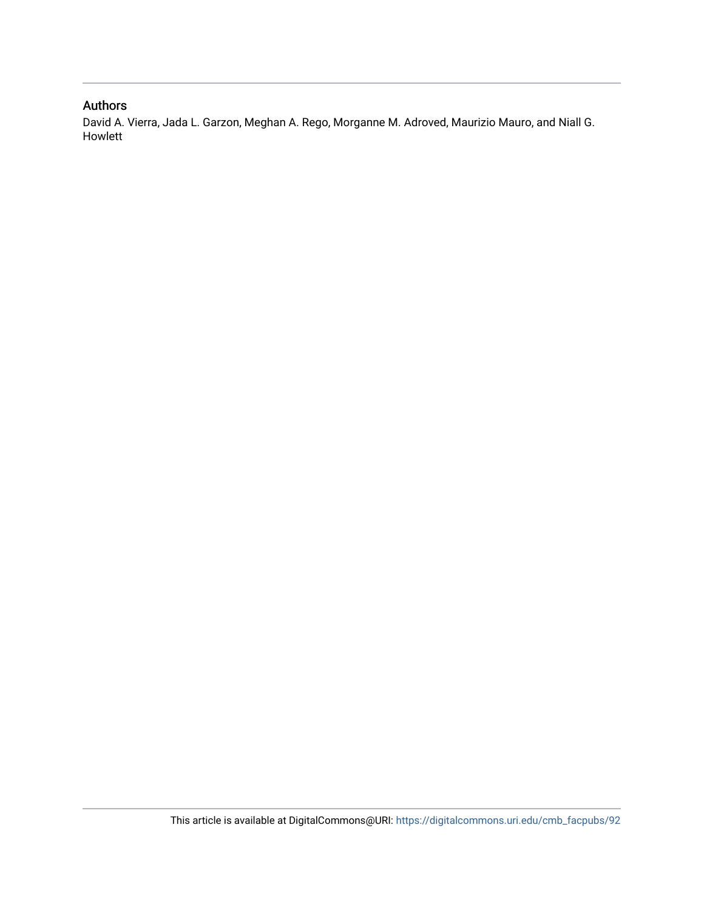### Authors

David A. Vierra, Jada L. Garzon, Meghan A. Rego, Morganne M. Adroved, Maurizio Mauro, and Niall G. Howlett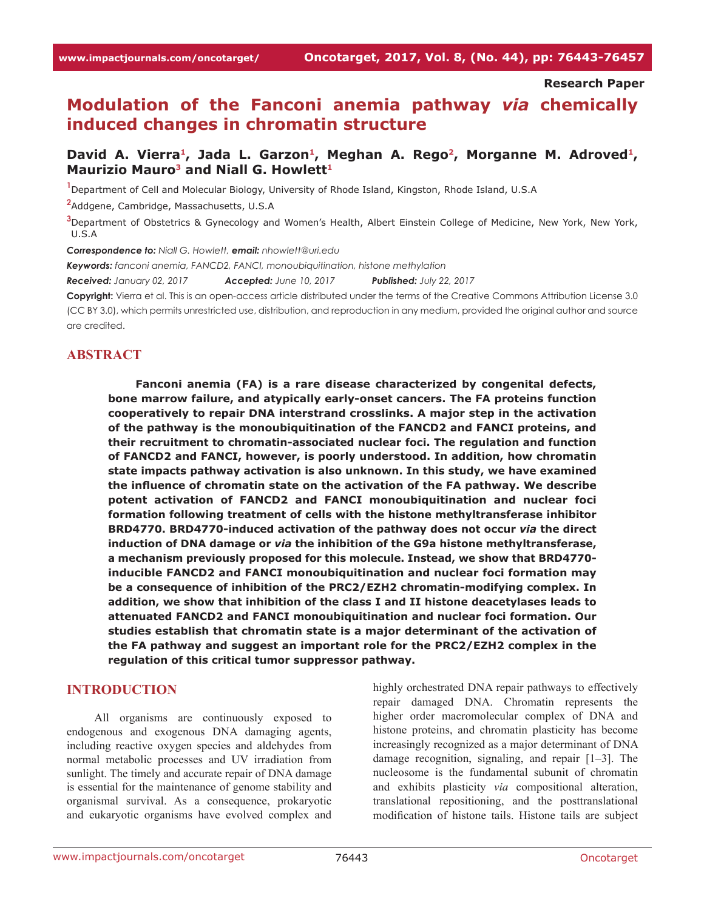**Research Paper**

# **Modulation of the Fanconi anemia pathway** *via* **chemically induced changes in chromatin structure**

# David A. Vierra<sup>1</sup>, Jada L. Garzon<sup>1</sup>, Meghan A. Rego<sup>2</sup>, Morganne M. Adroved<sup>1</sup>, **Maurizio Mauro3 and Niall G. Howlett1**

**1** Department of Cell and Molecular Biology, University of Rhode Island, Kingston, Rhode Island, U.S.A

**2** Addgene, Cambridge, Massachusetts, U.S.A

**3** Department of Obstetrics & Gynecology and Women's Health, Albert Einstein College of Medicine, New York, New York, U.S.A

*Correspondence to: Niall G. Howlett, email: nhowlett@uri.edu*

*Keywords: fanconi anemia, FANCD2, FANCI, monoubiquitination, histone methylation*

*Received: January 02, 2017 Accepted: June 10, 2017 Published: July 22, 2017*

**Copyright:** Vierra et al. This is an open-access article distributed under the terms of the Creative Commons Attribution License 3.0 (CC BY 3.0), which permits unrestricted use, distribution, and reproduction in any medium, provided the original author and source are credited.

#### **ABSTRACT**

**Fanconi anemia (FA) is a rare disease characterized by congenital defects, bone marrow failure, and atypically early-onset cancers. The FA proteins function cooperatively to repair DNA interstrand crosslinks. A major step in the activation of the pathway is the monoubiquitination of the FANCD2 and FANCI proteins, and their recruitment to chromatin-associated nuclear foci. The regulation and function of FANCD2 and FANCI, however, is poorly understood. In addition, how chromatin state impacts pathway activation is also unknown. In this study, we have examined the influence of chromatin state on the activation of the FA pathway. We describe potent activation of FANCD2 and FANCI monoubiquitination and nuclear foci formation following treatment of cells with the histone methyltransferase inhibitor BRD4770. BRD4770-induced activation of the pathway does not occur** *via* **the direct induction of DNA damage or** *via* **the inhibition of the G9a histone methyltransferase, a mechanism previously proposed for this molecule. Instead, we show that BRD4770 inducible FANCD2 and FANCI monoubiquitination and nuclear foci formation may be a consequence of inhibition of the PRC2/EZH2 chromatin-modifying complex. In addition, we show that inhibition of the class I and II histone deacetylases leads to attenuated FANCD2 and FANCI monoubiquitination and nuclear foci formation. Our studies establish that chromatin state is a major determinant of the activation of the FA pathway and suggest an important role for the PRC2/EZH2 complex in the regulation of this critical tumor suppressor pathway.**

#### **INTRODUCTION**

All organisms are continuously exposed to endogenous and exogenous DNA damaging agents, including reactive oxygen species and aldehydes from normal metabolic processes and UV irradiation from sunlight. The timely and accurate repair of DNA damage is essential for the maintenance of genome stability and organismal survival. As a consequence, prokaryotic and eukaryotic organisms have evolved complex and

highly orchestrated DNA repair pathways to effectively repair damaged DNA. Chromatin represents the higher order macromolecular complex of DNA and histone proteins, and chromatin plasticity has become increasingly recognized as a major determinant of DNA damage recognition, signaling, and repair [1–3]. The nucleosome is the fundamental subunit of chromatin and exhibits plasticity *via* compositional alteration, translational repositioning, and the posttranslational modification of histone tails. Histone tails are subject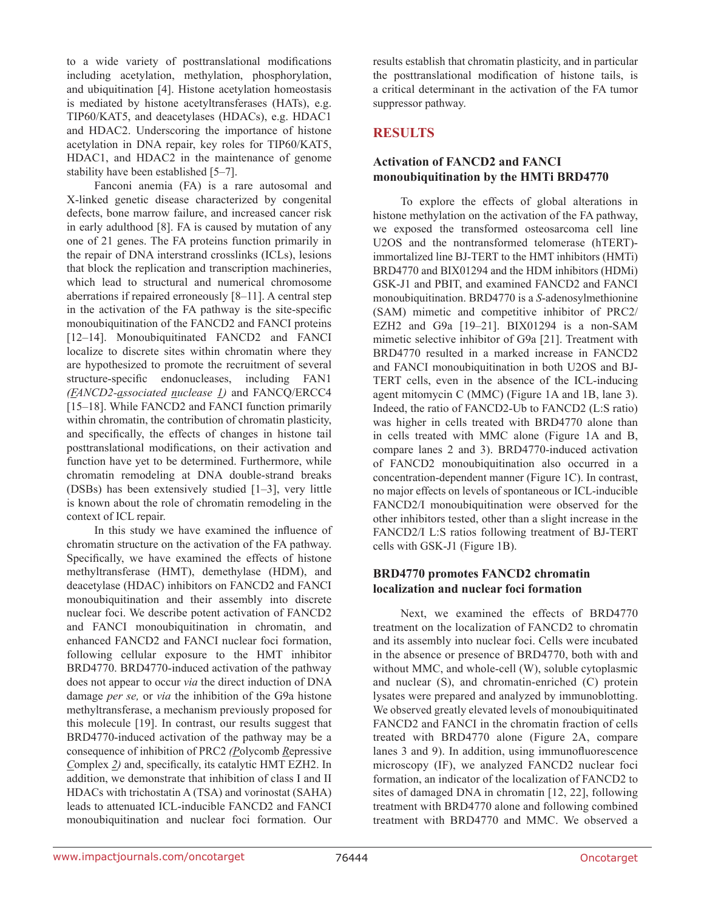to a wide variety of posttranslational modifications including acetylation, methylation, phosphorylation, and ubiquitination [4]. Histone acetylation homeostasis is mediated by histone acetyltransferases (HATs), e.g. TIP60/KAT5, and deacetylases (HDACs), e.g. HDAC1 and HDAC2. Underscoring the importance of histone acetylation in DNA repair, key roles for TIP60/KAT5, HDAC1, and HDAC2 in the maintenance of genome stability have been established [5–7].

Fanconi anemia (FA) is a rare autosomal and X-linked genetic disease characterized by congenital defects, bone marrow failure, and increased cancer risk in early adulthood [8]. FA is caused by mutation of any one of 21 genes. The FA proteins function primarily in the repair of DNA interstrand crosslinks (ICLs), lesions that block the replication and transcription machineries, which lead to structural and numerical chromosome aberrations if repaired erroneously [8–11]. A central step in the activation of the FA pathway is the site-specific monoubiquitination of the FANCD2 and FANCI proteins [12–14]. Monoubiquitinated FANCD2 and FANCI localize to discrete sites within chromatin where they are hypothesized to promote the recruitment of several structure-specific endonucleases, including FAN1 *(FANCD2-associated nuclease 1)* and FANCQ/ERCC4 [15–18]. While FANCD2 and FANCI function primarily within chromatin, the contribution of chromatin plasticity, and specifically, the effects of changes in histone tail posttranslational modifications, on their activation and function have yet to be determined. Furthermore, while chromatin remodeling at DNA double-strand breaks (DSBs) has been extensively studied [1–3], very little is known about the role of chromatin remodeling in the context of ICL repair.

In this study we have examined the influence of chromatin structure on the activation of the FA pathway. Specifically, we have examined the effects of histone methyltransferase (HMT), demethylase (HDM), and deacetylase (HDAC) inhibitors on FANCD2 and FANCI monoubiquitination and their assembly into discrete nuclear foci. We describe potent activation of FANCD2 and FANCI monoubiquitination in chromatin, and enhanced FANCD2 and FANCI nuclear foci formation, following cellular exposure to the HMT inhibitor BRD4770. BRD4770-induced activation of the pathway does not appear to occur *via* the direct induction of DNA damage *per se,* or *via* the inhibition of the G9a histone methyltransferase, a mechanism previously proposed for this molecule [19]. In contrast, our results suggest that BRD4770-induced activation of the pathway may be a consequence of inhibition of PRC2 *(P*olycomb *R*epressive *C*omplex *2)* and, specifically, its catalytic HMT EZH2. In addition, we demonstrate that inhibition of class I and II HDACs with trichostatin A (TSA) and vorinostat (SAHA) leads to attenuated ICL-inducible FANCD2 and FANCI monoubiquitination and nuclear foci formation. Our

results establish that chromatin plasticity, and in particular the posttranslational modification of histone tails, is a critical determinant in the activation of the FA tumor suppressor pathway.

# **RESULTS**

# **Activation of FANCD2 and FANCI monoubiquitination by the HMTi BRD4770**

To explore the effects of global alterations in histone methylation on the activation of the FA pathway, we exposed the transformed osteosarcoma cell line U2OS and the nontransformed telomerase (hTERT) immortalized line BJ-TERT to the HMT inhibitors (HMTi) BRD4770 and BIX01294 and the HDM inhibitors (HDMi) GSK-J1 and PBIT, and examined FANCD2 and FANCI monoubiquitination. BRD4770 is a *S*-adenosylmethionine (SAM) mimetic and competitive inhibitor of PRC2/ EZH2 and G9a [19–21]. BIX01294 is a non-SAM mimetic selective inhibitor of G9a [21]. Treatment with BRD4770 resulted in a marked increase in FANCD2 and FANCI monoubiquitination in both U2OS and BJ-TERT cells, even in the absence of the ICL-inducing agent mitomycin C (MMC) (Figure 1A and 1B, lane 3). Indeed, the ratio of FANCD2-Ub to FANCD2 (L:S ratio) was higher in cells treated with BRD4770 alone than in cells treated with MMC alone (Figure 1A and B, compare lanes 2 and 3). BRD4770-induced activation of FANCD2 monoubiquitination also occurred in a concentration-dependent manner (Figure 1C). In contrast, no major effects on levels of spontaneous or ICL-inducible FANCD2/I monoubiquitination were observed for the other inhibitors tested, other than a slight increase in the FANCD2/I L:S ratios following treatment of BJ-TERT cells with GSK-J1 (Figure 1B).

# **BRD4770 promotes FANCD2 chromatin localization and nuclear foci formation**

Next, we examined the effects of BRD4770 treatment on the localization of FANCD2 to chromatin and its assembly into nuclear foci. Cells were incubated in the absence or presence of BRD4770, both with and without MMC, and whole-cell (W), soluble cytoplasmic and nuclear (S), and chromatin-enriched (C) protein lysates were prepared and analyzed by immunoblotting. We observed greatly elevated levels of monoubiquitinated FANCD2 and FANCI in the chromatin fraction of cells treated with BRD4770 alone (Figure 2A, compare lanes 3 and 9). In addition, using immunofluorescence microscopy (IF), we analyzed FANCD2 nuclear foci formation, an indicator of the localization of FANCD2 to sites of damaged DNA in chromatin [12, 22], following treatment with BRD4770 alone and following combined treatment with BRD4770 and MMC. We observed a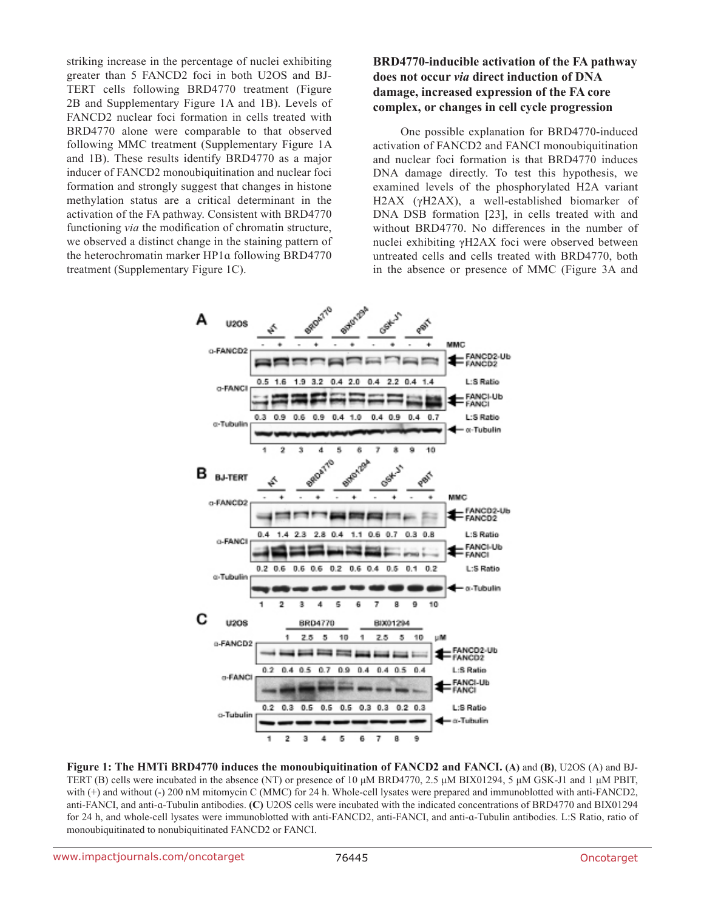striking increase in the percentage of nuclei exhibiting greater than 5 FANCD2 foci in both U2OS and BJ-TERT cells following BRD4770 treatment (Figure 2B and Supplementary Figure 1A and 1B). Levels of FANCD2 nuclear foci formation in cells treated with BRD4770 alone were comparable to that observed following MMC treatment (Supplementary Figure 1A and 1B). These results identify BRD4770 as a major inducer of FANCD2 monoubiquitination and nuclear foci formation and strongly suggest that changes in histone methylation status are a critical determinant in the activation of the FA pathway. Consistent with BRD4770 functioning *via* the modification of chromatin structure, we observed a distinct change in the staining pattern of the heterochromatin marker HP1ɑ following BRD4770 treatment (Supplementary Figure 1C).

# **BRD4770-inducible activation of the FA pathway does not occur** *via* **direct induction of DNA damage, increased expression of the FA core complex, or changes in cell cycle progression**

One possible explanation for BRD4770-induced activation of FANCD2 and FANCI monoubiquitination and nuclear foci formation is that BRD4770 induces DNA damage directly. To test this hypothesis, we examined levels of the phosphorylated H2A variant H2AX (γH2AX), a well-established biomarker of DNA DSB formation [23], in cells treated with and without BRD4770. No differences in the number of nuclei exhibiting γH2AX foci were observed between untreated cells and cells treated with BRD4770, both in the absence or presence of MMC (Figure 3A and



**Figure 1: The HMTi BRD4770 induces the monoubiquitination of FANCD2 and FANCI. (A)** and **(B)**, U2OS (A) and BJ-TERT (B) cells were incubated in the absence (NT) or presence of 10 μM BRD4770, 2.5 μM BIX01294, 5 μM GSK-J1 and 1 μM PBIT, with (+) and without (-) 200 nM mitomycin C (MMC) for 24 h. Whole-cell lysates were prepared and immunoblotted with anti-FANCD2, anti-FANCI, and anti-ɑ-Tubulin antibodies. **(C)** U2OS cells were incubated with the indicated concentrations of BRD4770 and BIX01294 for 24 h, and whole-cell lysates were immunoblotted with anti-FANCD2, anti-FANCI, and anti-ɑ-Tubulin antibodies. L:S Ratio, ratio of monoubiquitinated to nonubiquitinated FANCD2 or FANCI.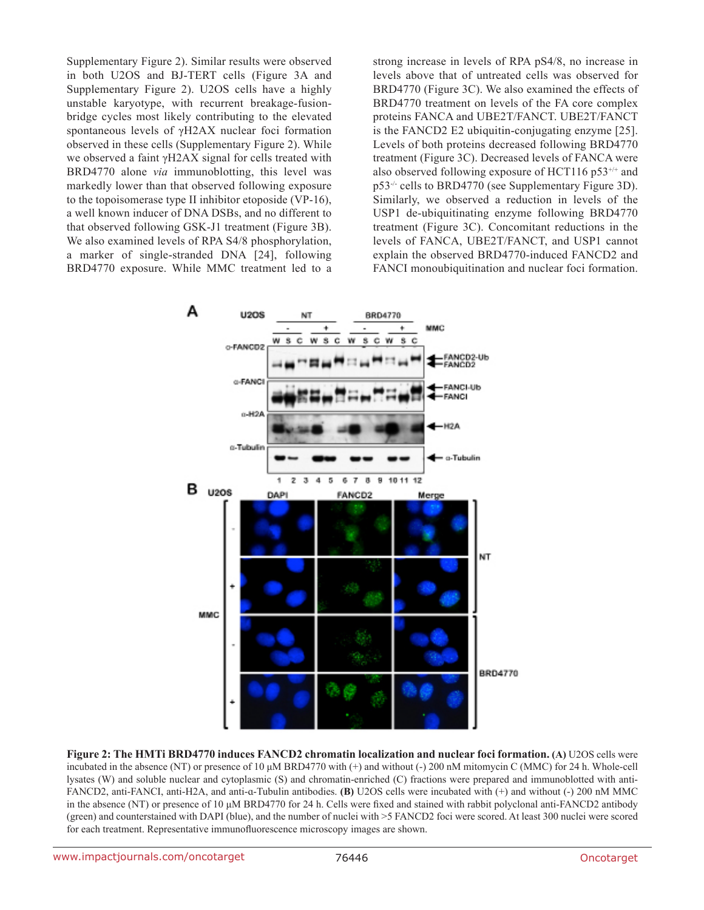Supplementary Figure 2). Similar results were observed in both U2OS and BJ-TERT cells (Figure 3A and Supplementary Figure 2). U2OS cells have a highly unstable karyotype, with recurrent breakage-fusionbridge cycles most likely contributing to the elevated spontaneous levels of γH2AX nuclear foci formation observed in these cells (Supplementary Figure 2). While we observed a faint γH2AX signal for cells treated with BRD4770 alone *via* immunoblotting, this level was markedly lower than that observed following exposure to the topoisomerase type II inhibitor etoposide (VP-16), a well known inducer of DNA DSBs, and no different to that observed following GSK-J1 treatment (Figure 3B). We also examined levels of RPA S4/8 phosphorylation, a marker of single-stranded DNA [24], following BRD4770 exposure. While MMC treatment led to a strong increase in levels of RPA pS4/8, no increase in levels above that of untreated cells was observed for BRD4770 (Figure 3C). We also examined the effects of BRD4770 treatment on levels of the FA core complex proteins FANCA and UBE2T/FANCT. UBE2T/FANCT is the FANCD2 E2 ubiquitin-conjugating enzyme [25]. Levels of both proteins decreased following BRD4770 treatment (Figure 3C). Decreased levels of FANCA were also observed following exposure of HCT116  $p53^{+/+}$  and p53-/- cells to BRD4770 (see Supplementary Figure 3D). Similarly, we observed a reduction in levels of the USP1 de-ubiquitinating enzyme following BRD4770 treatment (Figure 3C). Concomitant reductions in the levels of FANCA, UBE2T/FANCT, and USP1 cannot explain the observed BRD4770-induced FANCD2 and FANCI monoubiquitination and nuclear foci formation.



**Figure 2: The HMTi BRD4770 induces FANCD2 chromatin localization and nuclear foci formation. (A)** U2OS cells were incubated in the absence (NT) or presence of 10 μM BRD4770 with (+) and without (-) 200 nM mitomycin C (MMC) for 24 h. Whole-cell lysates (W) and soluble nuclear and cytoplasmic (S) and chromatin-enriched (C) fractions were prepared and immunoblotted with anti-FANCD2, anti-FANCI, anti-H2A, and anti-ɑ-Tubulin antibodies. **(B)** U2OS cells were incubated with (+) and without (-) 200 nM MMC in the absence (NT) or presence of 10 μM BRD4770 for 24 h. Cells were fixed and stained with rabbit polyclonal anti-FANCD2 antibody (green) and counterstained with DAPI (blue), and the number of nuclei with >5 FANCD2 foci were scored. At least 300 nuclei were scored for each treatment. Representative immunofluorescence microscopy images are shown.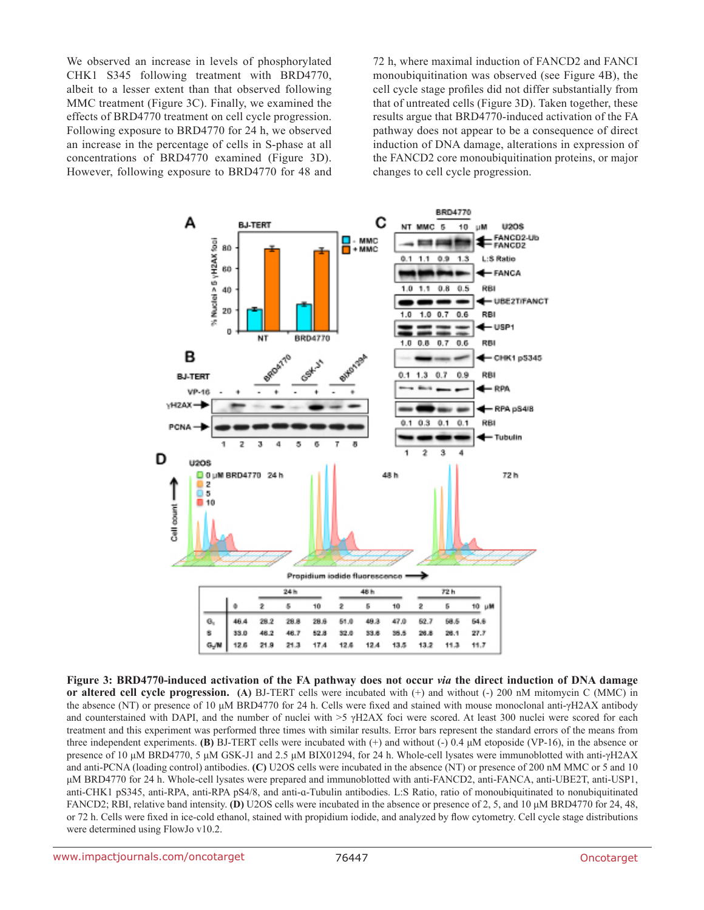We observed an increase in levels of phosphorylated CHK1 S345 following treatment with BRD4770, albeit to a lesser extent than that observed following MMC treatment (Figure 3C). Finally, we examined the effects of BRD4770 treatment on cell cycle progression. Following exposure to BRD4770 for 24 h, we observed an increase in the percentage of cells in S-phase at all concentrations of BRD4770 examined (Figure 3D). However, following exposure to BRD4770 for 48 and

72 h, where maximal induction of FANCD2 and FANCI monoubiquitination was observed (see Figure 4B), the cell cycle stage profiles did not differ substantially from that of untreated cells (Figure 3D). Taken together, these results argue that BRD4770-induced activation of the FA pathway does not appear to be a consequence of direct induction of DNA damage, alterations in expression of the FANCD2 core monoubiquitination proteins, or major changes to cell cycle progression.



**Figure 3: BRD4770-induced activation of the FA pathway does not occur** *via* **the direct induction of DNA damage or altered cell cycle progression. (A)** BJ-TERT cells were incubated with (+) and without (-) 200 nM mitomycin C (MMC) in the absence (NT) or presence of 10 μM BRD4770 for 24 h. Cells were fixed and stained with mouse monoclonal anti-γH2AX antibody and counterstained with DAPI, and the number of nuclei with >5 γH2AX foci were scored. At least 300 nuclei were scored for each treatment and this experiment was performed three times with similar results. Error bars represent the standard errors of the means from three independent experiments. **(B)** BJ-TERT cells were incubated with (+) and without (-) 0.4 μM etoposide (VP-16), in the absence or presence of 10 μM BRD4770, 5 μM GSK-J1 and 2.5 μM BIX01294, for 24 h. Whole-cell lysates were immunoblotted with anti-γH2AX and anti-PCNA (loading control) antibodies. **(C)** U2OS cells were incubated in the absence (NT) or presence of 200 nM MMC or 5 and 10 μM BRD4770 for 24 h. Whole-cell lysates were prepared and immunoblotted with anti-FANCD2, anti-FANCA, anti-UBE2T, anti-USP1, anti-CHK1 pS345, anti-RPA, anti-RPA pS4/8, and anti-ɑ-Tubulin antibodies. L:S Ratio, ratio of monoubiquitinated to nonubiquitinated FANCD2; RBI, relative band intensity. **(D)** U2OS cells were incubated in the absence or presence of 2, 5, and 10 μM BRD4770 for 24, 48, or 72 h. Cells were fixed in ice-cold ethanol, stained with propidium iodide, and analyzed by flow cytometry. Cell cycle stage distributions were determined using FlowJo v10.2.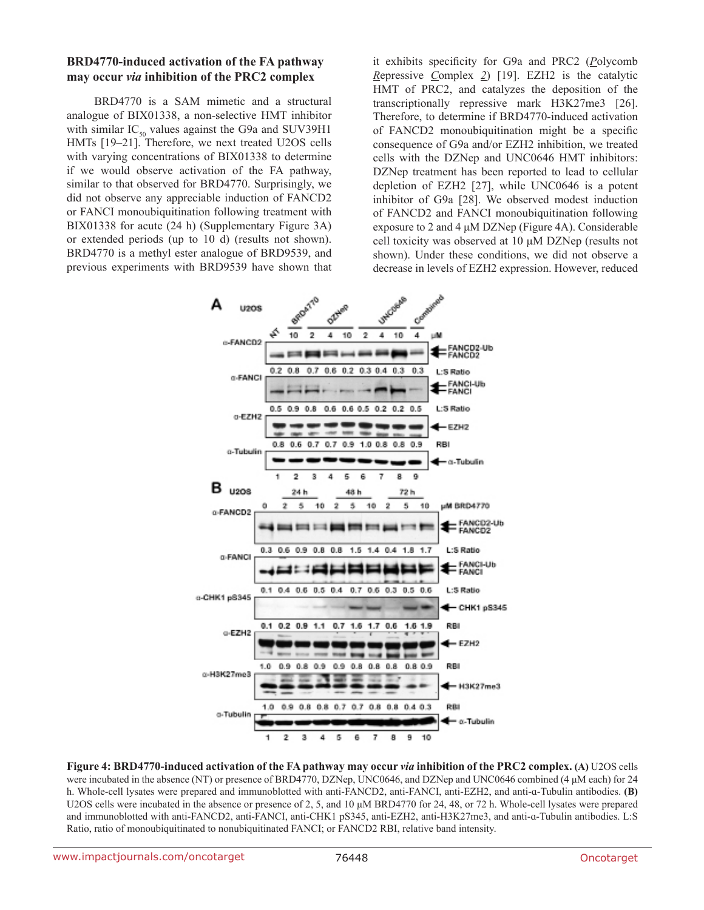#### **BRD4770-induced activation of the FA pathway may occur** *via* **inhibition of the PRC2 complex**

BRD4770 is a SAM mimetic and a structural analogue of BIX01338, a non-selective HMT inhibitor with similar  $IC_{50}$  values against the G9a and SUV39H1 HMTs [19–21]. Therefore, we next treated U2OS cells with varying concentrations of BIX01338 to determine if we would observe activation of the FA pathway, similar to that observed for BRD4770. Surprisingly, we did not observe any appreciable induction of FANCD2 or FANCI monoubiquitination following treatment with BIX01338 for acute (24 h) (Supplementary Figure 3A) or extended periods (up to 10 d) (results not shown). BRD4770 is a methyl ester analogue of BRD9539, and previous experiments with BRD9539 have shown that it exhibits specificity for G9a and PRC2 (*P*olycomb *R*epressive *C*omplex *2*) [19]. EZH2 is the catalytic HMT of PRC2, and catalyzes the deposition of the transcriptionally repressive mark H3K27me3 [26]. Therefore, to determine if BRD4770-induced activation of FANCD2 monoubiquitination might be a specific consequence of G9a and/or EZH2 inhibition, we treated cells with the DZNep and UNC0646 HMT inhibitors: DZNep treatment has been reported to lead to cellular depletion of EZH2 [27], while UNC0646 is a potent inhibitor of G9a [28]. We observed modest induction of FANCD2 and FANCI monoubiquitination following exposure to 2 and 4 μM DZNep (Figure 4A). Considerable cell toxicity was observed at 10 μM DZNep (results not shown). Under these conditions, we did not observe a decrease in levels of EZH2 expression. However, reduced

![](_page_7_Figure_3.jpeg)

**Figure 4: BRD4770-induced activation of the FA pathway may occur** *via* **inhibition of the PRC2 complex. (A)** U2OS cells were incubated in the absence (NT) or presence of BRD4770, DZNep, UNC0646, and DZNep and UNC0646 combined (4 μM each) for 24 h. Whole-cell lysates were prepared and immunoblotted with anti-FANCD2, anti-FANCI, anti-EZH2, and anti-ɑ-Tubulin antibodies. **(B)** U2OS cells were incubated in the absence or presence of 2, 5, and 10 μM BRD4770 for 24, 48, or 72 h. Whole-cell lysates were prepared and immunoblotted with anti-FANCD2, anti-FANCI, anti-CHK1 pS345, anti-EZH2, anti-H3K27me3, and anti-ɑ-Tubulin antibodies. L:S Ratio, ratio of monoubiquitinated to nonubiquitinated FANCI; or FANCD2 RBI, relative band intensity.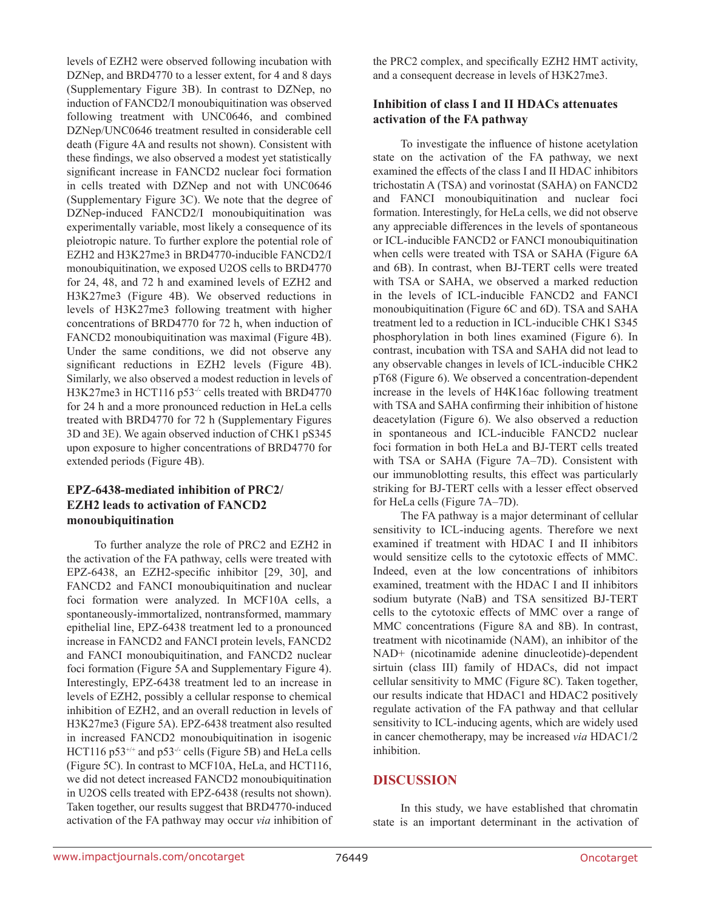levels of EZH2 were observed following incubation with DZNep, and BRD4770 to a lesser extent, for 4 and 8 days (Supplementary Figure 3B). In contrast to DZNep, no induction of FANCD2/I monoubiquitination was observed following treatment with UNC0646, and combined DZNep/UNC0646 treatment resulted in considerable cell death (Figure 4A and results not shown). Consistent with these findings, we also observed a modest yet statistically significant increase in FANCD2 nuclear foci formation in cells treated with DZNep and not with UNC0646 (Supplementary Figure 3C). We note that the degree of DZNep-induced FANCD2/I monoubiquitination was experimentally variable, most likely a consequence of its pleiotropic nature. To further explore the potential role of EZH2 and H3K27me3 in BRD4770-inducible FANCD2/I monoubiquitination, we exposed U2OS cells to BRD4770 for 24, 48, and 72 h and examined levels of EZH2 and H3K27me3 (Figure 4B). We observed reductions in levels of H3K27me3 following treatment with higher concentrations of BRD4770 for 72 h, when induction of FANCD2 monoubiquitination was maximal (Figure 4B). Under the same conditions, we did not observe any significant reductions in EZH2 levels (Figure 4B). Similarly, we also observed a modest reduction in levels of H3K27me3 in HCT116 p53<sup>-/-</sup> cells treated with BRD4770 for 24 h and a more pronounced reduction in HeLa cells treated with BRD4770 for 72 h (Supplementary Figures 3D and 3E). We again observed induction of CHK1 pS345 upon exposure to higher concentrations of BRD4770 for extended periods (Figure 4B).

# **EPZ-6438-mediated inhibition of PRC2/ EZH2 leads to activation of FANCD2 monoubiquitination**

To further analyze the role of PRC2 and EZH2 in the activation of the FA pathway, cells were treated with EPZ-6438, an EZH2-specific inhibitor [29, 30], and FANCD2 and FANCI monoubiquitination and nuclear foci formation were analyzed. In MCF10A cells, a spontaneously-immortalized, nontransformed, mammary epithelial line, EPZ-6438 treatment led to a pronounced increase in FANCD2 and FANCI protein levels, FANCD2 and FANCI monoubiquitination, and FANCD2 nuclear foci formation (Figure 5A and Supplementary Figure 4). Interestingly, EPZ-6438 treatment led to an increase in levels of EZH2, possibly a cellular response to chemical inhibition of EZH2, and an overall reduction in levels of H3K27me3 (Figure 5A). EPZ-6438 treatment also resulted in increased FANCD2 monoubiquitination in isogenic HCT116 p53<sup>+/+</sup> and p53<sup>-/-</sup> cells (Figure 5B) and HeLa cells (Figure 5C). In contrast to MCF10A, HeLa, and HCT116, we did not detect increased FANCD2 monoubiquitination in U2OS cells treated with EPZ-6438 (results not shown). Taken together, our results suggest that BRD4770-induced activation of the FA pathway may occur *via* inhibition of

the PRC2 complex, and specifically EZH2 HMT activity, and a consequent decrease in levels of H3K27me3.

### **Inhibition of class I and II HDACs attenuates activation of the FA pathway**

To investigate the influence of histone acetylation state on the activation of the FA pathway, we next examined the effects of the class I and II HDAC inhibitors trichostatin A (TSA) and vorinostat (SAHA) on FANCD2 and FANCI monoubiquitination and nuclear foci formation. Interestingly, for HeLa cells, we did not observe any appreciable differences in the levels of spontaneous or ICL-inducible FANCD2 or FANCI monoubiquitination when cells were treated with TSA or SAHA (Figure 6A and 6B). In contrast, when BJ-TERT cells were treated with TSA or SAHA, we observed a marked reduction in the levels of ICL-inducible FANCD2 and FANCI monoubiquitination (Figure 6C and 6D). TSA and SAHA treatment led to a reduction in ICL-inducible CHK1 S345 phosphorylation in both lines examined (Figure 6). In contrast, incubation with TSA and SAHA did not lead to any observable changes in levels of ICL-inducible CHK2 pT68 (Figure 6). We observed a concentration-dependent increase in the levels of H4K16ac following treatment with TSA and SAHA confirming their inhibition of histone deacetylation (Figure 6). We also observed a reduction in spontaneous and ICL-inducible FANCD2 nuclear foci formation in both HeLa and BJ-TERT cells treated with TSA or SAHA (Figure 7A–7D). Consistent with our immunoblotting results, this effect was particularly striking for BJ-TERT cells with a lesser effect observed for HeLa cells (Figure 7A–7D).

The FA pathway is a major determinant of cellular sensitivity to ICL-inducing agents. Therefore we next examined if treatment with HDAC I and II inhibitors would sensitize cells to the cytotoxic effects of MMC. Indeed, even at the low concentrations of inhibitors examined, treatment with the HDAC I and II inhibitors sodium butyrate (NaB) and TSA sensitized BJ-TERT cells to the cytotoxic effects of MMC over a range of MMC concentrations (Figure 8A and 8B). In contrast, treatment with nicotinamide (NAM), an inhibitor of the NAD+ (nicotinamide adenine dinucleotide)-dependent sirtuin (class III) family of HDACs, did not impact cellular sensitivity to MMC (Figure 8C). Taken together, our results indicate that HDAC1 and HDAC2 positively regulate activation of the FA pathway and that cellular sensitivity to ICL-inducing agents, which are widely used in cancer chemotherapy, may be increased *via* HDAC1/2 inhibition.

# **DISCUSSION**

In this study, we have established that chromatin state is an important determinant in the activation of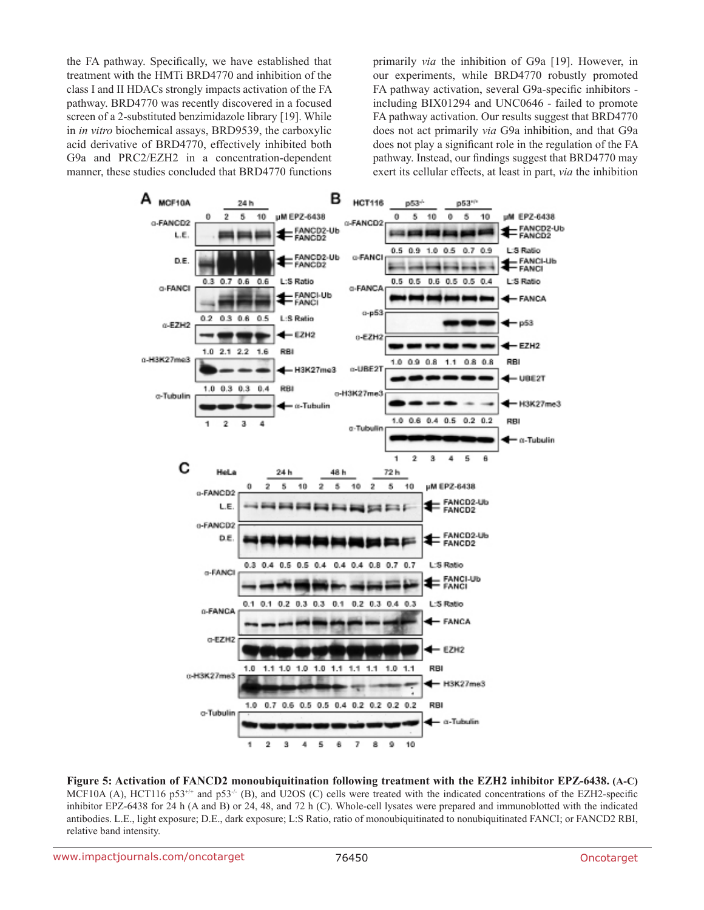the FA pathway. Specifically, we have established that treatment with the HMTi BRD4770 and inhibition of the class I and II HDACs strongly impacts activation of the FA pathway. BRD4770 was recently discovered in a focused screen of a 2-substituted benzimidazole library [19]. While in *in vitro* biochemical assays, BRD9539, the carboxylic acid derivative of BRD4770, effectively inhibited both G9a and PRC2/EZH2 in a concentration-dependent manner, these studies concluded that BRD4770 functions primarily *via* the inhibition of G9a [19]. However, in our experiments, while BRD4770 robustly promoted FA pathway activation, several G9a-specific inhibitors including BIX01294 and UNC0646 - failed to promote FA pathway activation. Our results suggest that BRD4770 does not act primarily *via* G9a inhibition, and that G9a does not play a significant role in the regulation of the FA pathway. Instead, our findings suggest that BRD4770 may exert its cellular effects, at least in part, *via* the inhibition

![](_page_9_Figure_2.jpeg)

**Figure 5: Activation of FANCD2 monoubiquitination following treatment with the EZH2 inhibitor EPZ-6438. (A-C)** MCF10A (A), HCT116 p53<sup>+/+</sup> and p53<sup>-/-</sup> (B), and U2OS (C) cells were treated with the indicated concentrations of the EZH2-specific inhibitor EPZ-6438 for 24 h (A and B) or 24, 48, and 72 h (C). Whole-cell lysates were prepared and immunoblotted with the indicated antibodies. L.E., light exposure; D.E., dark exposure; L:S Ratio, ratio of monoubiquitinated to nonubiquitinated FANCI; or FANCD2 RBI, relative band intensity.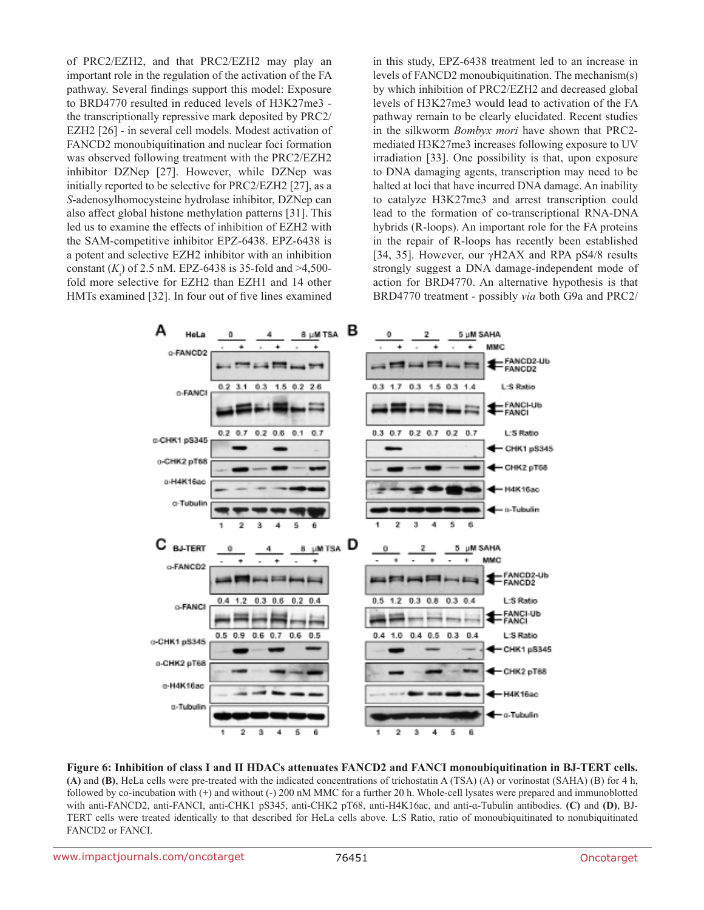of PRC2/EZH2, and that PRC2/EZH2 may play an important role in the regulation of the activation of the FA pathway. Several findings support this model: Exposure to BRD4770 resulted in reduced levels of H3K27me3 the transcriptionally repressive mark deposited by PRC2/ EZH2 [26] - in several cell models. Modest activation of FANCD2 monoubiquitination and nuclear foci formation was observed following treatment with the PRC2/EZH2 inhibitor DZNep [27]. However, while DZNep was initially reported to be selective for PRC2/EZH2 [27], as a *S*-adenosylhomocysteine hydrolase inhibitor, DZNep can also affect global histone methylation patterns [31]. This led us to examine the effects of inhibition of EZH2 with the SAM-competitive inhibitor EPZ-6438. EPZ-6438 is a potent and selective EZH2 inhibitor with an inhibition constant  $(K_i)$  of 2.5 nM. EPZ-6438 is 35-fold and >4,500fold more selective for EZH2 than EZH1 and 14 other HMTs examined [32]. In four out of five lines examined

in this study, EPZ-6438 treatment led to an increase in levels of FANCD2 monoubiquitination. The mechanism(s) by which inhibition of PRC2/EZH2 and decreased global levels of H3K27me3 would lead to activation of the FA pathway remain to be clearly elucidated. Recent studies in the silkworm *Bombyx mori* have shown that PRC2 mediated H3K27me3 increases following exposure to UV irradiation [33]. One possibility is that, upon exposure to DNA damaging agents, transcription may need to be halted at loci that have incurred DNA damage. An inability to catalyze H3K27me3 and arrest transcription could lead to the formation of co-transcriptional RNA-DNA hybrids (R-loops). An important role for the FA proteins in the repair of R-loops has recently been established [34, 35]. However, our γH2AX and RPA pS4/8 results strongly suggest a DNA damage-independent mode of action for BRD4770. An alternative hypothesis is that BRD4770 treatment - possibly *via* both G9a and PRC2/

![](_page_10_Figure_2.jpeg)

**Figure 6: Inhibition of class I and II HDACs attenuates FANCD2 and FANCI monoubiquitination in BJ-TERT cells. (A)** and **(B)**, HeLa cells were pre-treated with the indicated concentrations of trichostatin A (TSA) (A) or vorinostat (SAHA) (B) for 4 h, followed by co-incubation with (+) and without (-) 200 nM MMC for a further 20 h. Whole-cell lysates were prepared and immunoblotted with anti-FANCD2, anti-FANCI, anti-CHK1 pS345, anti-CHK2 pT68, anti-H4K16ac, and anti-ɑ-Tubulin antibodies. **(C)** and **(D)**, BJ-TERT cells were treated identically to that described for HeLa cells above. L:S Ratio, ratio of monoubiquitinated to nonubiquitinated FANCD2 or FANCI.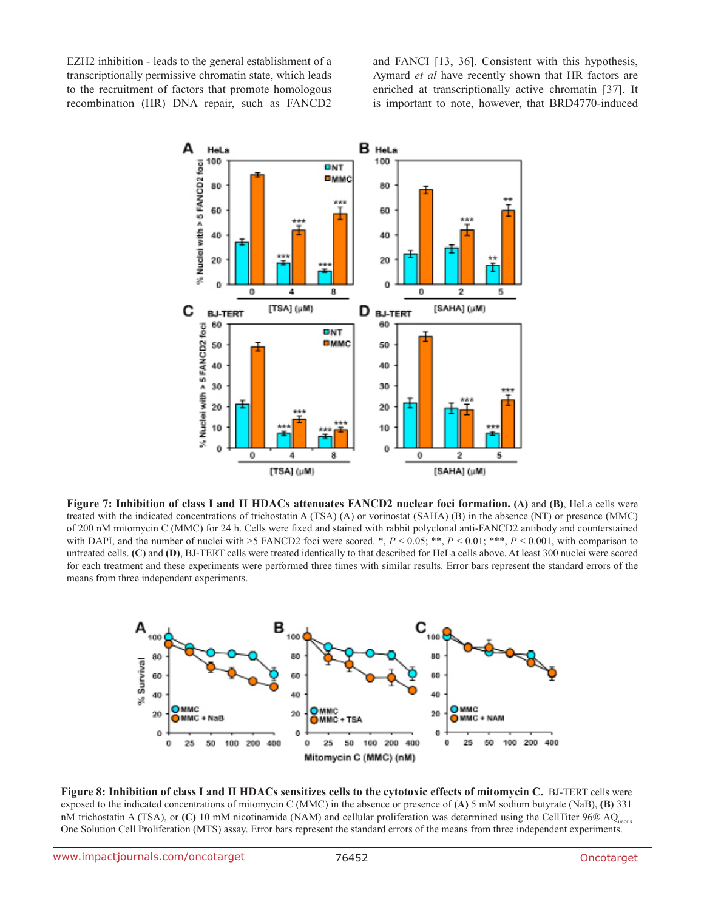EZH2 inhibition - leads to the general establishment of a transcriptionally permissive chromatin state, which leads to the recruitment of factors that promote homologous recombination (HR) DNA repair, such as FANCD2 and FANCI [13, 36]. Consistent with this hypothesis, Aymard *et al* have recently shown that HR factors are enriched at transcriptionally active chromatin [37]. It is important to note, however, that BRD4770-induced

![](_page_11_Figure_2.jpeg)

**Figure 7: Inhibition of class I and II HDACs attenuates FANCD2 nuclear foci formation. (A)** and **(B)**, HeLa cells were treated with the indicated concentrations of trichostatin A (TSA) (A) or vorinostat (SAHA) (B) in the absence (NT) or presence (MMC) of 200 nM mitomycin C (MMC) for 24 h. Cells were fixed and stained with rabbit polyclonal anti-FANCD2 antibody and counterstained with DAPI, and the number of nuclei with >5 FANCD2 foci were scored. \*,  $P < 0.05$ ; \*\*,  $P < 0.01$ ; \*\*\*,  $P < 0.001$ , with comparison to untreated cells. **(C)** and **(D)**, BJ-TERT cells were treated identically to that described for HeLa cells above. At least 300 nuclei were scored for each treatment and these experiments were performed three times with similar results. Error bars represent the standard errors of the means from three independent experiments.

![](_page_11_Figure_4.jpeg)

**Figure 8: Inhibition of class I and II HDACs sensitizes cells to the cytotoxic effects of mitomycin C.** BJ-TERT cells were exposed to the indicated concentrations of mitomycin C (MMC) in the absence or presence of **(A)** 5 mM sodium butyrate (NaB), **(B)** 331 nM trichostatin A (TSA), or **(C)** 10 mM nicotinamide (NAM) and cellular proliferation was determined using the CellTiter 96® AQ<sub>ueous</sub> One Solution Cell Proliferation (MTS) assay. Error bars represent the standard errors of the means from three independent experiments.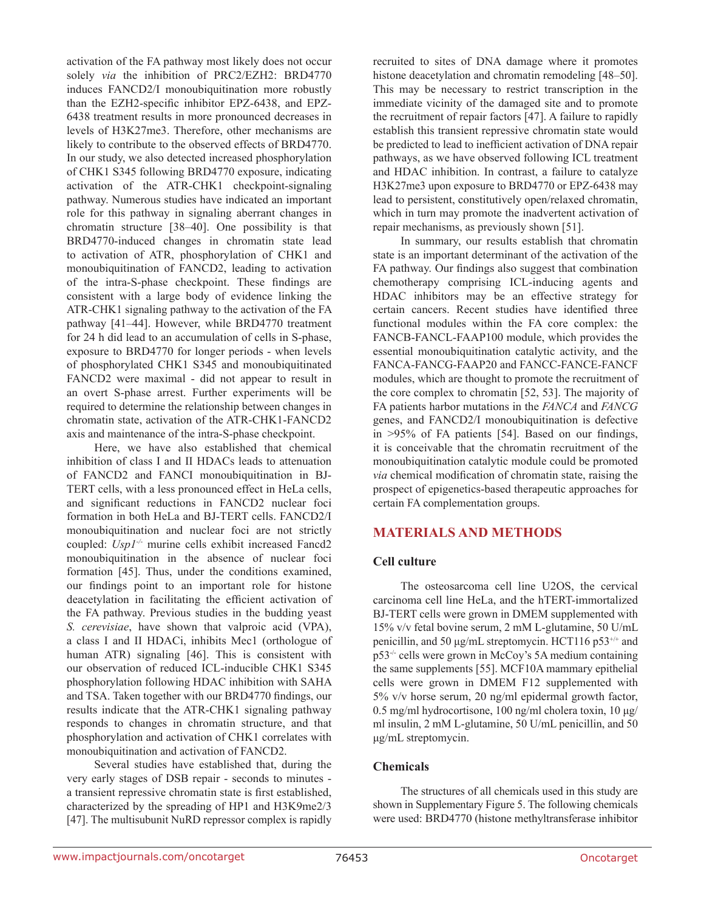activation of the FA pathway most likely does not occur solely *via* the inhibition of PRC2/EZH2: BRD4770 induces FANCD2/I monoubiquitination more robustly than the EZH2-specific inhibitor EPZ-6438, and EPZ-6438 treatment results in more pronounced decreases in levels of H3K27me3. Therefore, other mechanisms are likely to contribute to the observed effects of BRD4770. In our study, we also detected increased phosphorylation of CHK1 S345 following BRD4770 exposure, indicating activation of the ATR-CHK1 checkpoint-signaling pathway. Numerous studies have indicated an important role for this pathway in signaling aberrant changes in chromatin structure [38–40]. One possibility is that BRD4770-induced changes in chromatin state lead to activation of ATR, phosphorylation of CHK1 and monoubiquitination of FANCD2, leading to activation of the intra-S-phase checkpoint. These findings are consistent with a large body of evidence linking the ATR-CHK1 signaling pathway to the activation of the FA pathway [41–44]. However, while BRD4770 treatment for 24 h did lead to an accumulation of cells in S-phase, exposure to BRD4770 for longer periods - when levels of phosphorylated CHK1 S345 and monoubiquitinated FANCD2 were maximal - did not appear to result in an overt S-phase arrest. Further experiments will be required to determine the relationship between changes in chromatin state, activation of the ATR-CHK1-FANCD2 axis and maintenance of the intra-S-phase checkpoint.

Here, we have also established that chemical inhibition of class I and II HDACs leads to attenuation of FANCD2 and FANCI monoubiquitination in BJ-TERT cells, with a less pronounced effect in HeLa cells, and significant reductions in FANCD2 nuclear foci formation in both HeLa and BJ-TERT cells. FANCD2/I monoubiquitination and nuclear foci are not strictly coupled: *Usp1-/-* murine cells exhibit increased Fancd2 monoubiquitination in the absence of nuclear foci formation [45]. Thus, under the conditions examined, our findings point to an important role for histone deacetylation in facilitating the efficient activation of the FA pathway. Previous studies in the budding yeast *S. cerevisiae*, have shown that valproic acid (VPA), a class I and II HDACi, inhibits Mec1 (orthologue of human ATR) signaling [46]. This is consistent with our observation of reduced ICL-inducible CHK1 S345 phosphorylation following HDAC inhibition with SAHA and TSA. Taken together with our BRD4770 findings, our results indicate that the ATR-CHK1 signaling pathway responds to changes in chromatin structure, and that phosphorylation and activation of CHK1 correlates with monoubiquitination and activation of FANCD2.

Several studies have established that, during the very early stages of DSB repair - seconds to minutes a transient repressive chromatin state is first established, characterized by the spreading of HP1 and H3K9me2/3 [47]. The multisubunit NuRD repressor complex is rapidly recruited to sites of DNA damage where it promotes histone deacetylation and chromatin remodeling [48–50]. This may be necessary to restrict transcription in the immediate vicinity of the damaged site and to promote the recruitment of repair factors [47]. A failure to rapidly establish this transient repressive chromatin state would be predicted to lead to inefficient activation of DNA repair pathways, as we have observed following ICL treatment and HDAC inhibition. In contrast, a failure to catalyze H3K27me3 upon exposure to BRD4770 or EPZ-6438 may lead to persistent, constitutively open/relaxed chromatin, which in turn may promote the inadvertent activation of repair mechanisms, as previously shown [51].

In summary, our results establish that chromatin state is an important determinant of the activation of the FA pathway. Our findings also suggest that combination chemotherapy comprising ICL-inducing agents and HDAC inhibitors may be an effective strategy for certain cancers. Recent studies have identified three functional modules within the FA core complex: the FANCB-FANCL-FAAP100 module, which provides the essential monoubiquitination catalytic activity, and the FANCA-FANCG-FAAP20 and FANCC-FANCE-FANCF modules, which are thought to promote the recruitment of the core complex to chromatin [52, 53]. The majority of FA patients harbor mutations in the *FANCA* and *FANCG* genes, and FANCD2/I monoubiquitination is defective in >95% of FA patients [54]. Based on our findings, it is conceivable that the chromatin recruitment of the monoubiquitination catalytic module could be promoted *via* chemical modification of chromatin state, raising the prospect of epigenetics-based therapeutic approaches for certain FA complementation groups.

# **MATERIALS AND METHODS**

#### **Cell culture**

The osteosarcoma cell line U2OS, the cervical carcinoma cell line HeLa, and the hTERT-immortalized BJ-TERT cells were grown in DMEM supplemented with 15% v/v fetal bovine serum, 2 mM L-glutamine, 50 U/mL penicillin, and 50 μg/mL streptomycin. HCT116 p53+/+ and p53-/- cells were grown in McCoy's 5A medium containing the same supplements [55]. MCF10A mammary epithelial cells were grown in DMEM F12 supplemented with 5% v/v horse serum, 20 ng/ml epidermal growth factor, 0.5 mg/ml hydrocortisone, 100 ng/ml cholera toxin, 10 μg/ ml insulin, 2 mM L-glutamine, 50 U/mL penicillin, and 50 μg/mL streptomycin.

#### **Chemicals**

The structures of all chemicals used in this study are shown in Supplementary Figure 5. The following chemicals were used: BRD4770 (histone methyltransferase inhibitor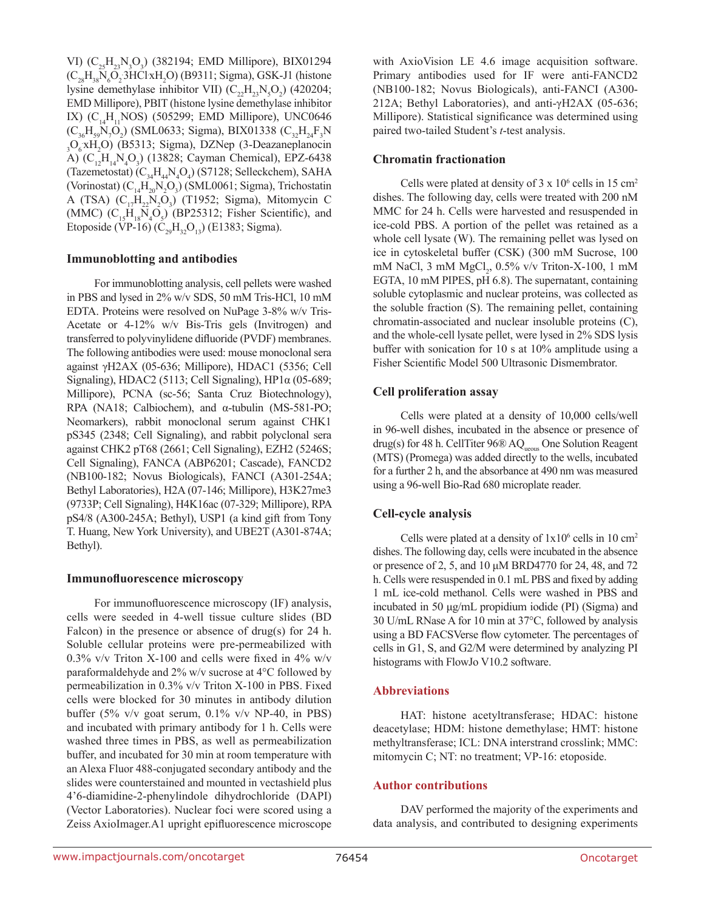VI) (C<sub>25</sub>H<sub>23</sub>N<sub>3</sub>O<sub>3</sub>) (382194; EMD Millipore), BIX01294  $(C_{28}H_{38}N_6O_2 3HClxH_2O)$  (B9311; Sigma), GSK-J1 (histone lysine demethylase inhibitor VII)  $(C_{22}H_{23}N_{5}O_{2})$  (420204; EMD Millipore), PBIT (histone lysine demethylase inhibitor IX) ( $C_{14}H_{11}NOS$ ) (505299; EMD Millipore), UNC0646  $(C_{36}H_{59}N_7O_2)$  (SML0633; Sigma), BIX01338  $(C_{32}H_{24}F_3N)$ <sub>3</sub>O<sub>6</sub>xH<sub>2</sub>O) (B5313; Sigma), DZNep (3-Deazaneplanocin A)  $(C_{12}H_{14}N_4O_3)$  (13828; Cayman Chemical), EPZ-6438 (Tazemetostat)  $(C_{34}H_{44}N_4O_4)$  (S7128; Selleckchem), SAHA (Vorinostat)  $(C_{14}H_{20}N_2O_3)$  (SML0061; Sigma), Trichostatin A (TSA)  $(C_{17}H_{22}N_2O_3)$  (T1952; Sigma), Mitomycin C (MMC)  $(C_{15}H_{18}N_4O_5)$  (BP25312; Fisher Scientific), and Etoposide (VP-16) ( $C_{29}H_{32}O_{13}$ ) (E1383; Sigma).

#### **Immunoblotting and antibodies**

For immunoblotting analysis, cell pellets were washed in PBS and lysed in 2% w/v SDS, 50 mM Tris-HCl, 10 mM EDTA. Proteins were resolved on NuPage 3-8% w/v Tris-Acetate or 4-12% w/v Bis-Tris gels (Invitrogen) and transferred to polyvinylidene difluoride (PVDF) membranes. The following antibodies were used: mouse monoclonal sera against γH2AX (05-636; Millipore), HDAC1 (5356; Cell Signaling), HDAC2 (5113; Cell Signaling), HP1 $\alpha$  (05-689; Millipore), PCNA (sc-56; Santa Cruz Biotechnology), RPA (NA18; Calbiochem), and α-tubulin (MS-581-PO; Neomarkers), rabbit monoclonal serum against CHK1 pS345 (2348; Cell Signaling), and rabbit polyclonal sera against CHK2 pT68 (2661; Cell Signaling), EZH2 (5246S; Cell Signaling), FANCA (ABP6201; Cascade), FANCD2 (NB100-182; Novus Biologicals), FANCI (A301-254A; Bethyl Laboratories), H2A (07-146; Millipore), H3K27me3 (9733P; Cell Signaling), H4K16ac (07-329; Millipore), RPA pS4/8 (A300-245A; Bethyl), USP1 (a kind gift from Tony T. Huang, New York University), and UBE2T (A301-874A; Bethyl).

#### **Immunofluorescence microscopy**

For immunofluorescence microscopy (IF) analysis, cells were seeded in 4-well tissue culture slides (BD Falcon) in the presence or absence of drug(s) for 24 h. Soluble cellular proteins were pre-permeabilized with 0.3% v/v Triton X-100 and cells were fixed in 4% w/v paraformaldehyde and 2% w/v sucrose at 4°C followed by permeabilization in 0.3% v/v Triton X-100 in PBS. Fixed cells were blocked for 30 minutes in antibody dilution buffer (5% v/v goat serum, 0.1% v/v NP-40, in PBS) and incubated with primary antibody for 1 h. Cells were washed three times in PBS, as well as permeabilization buffer, and incubated for 30 min at room temperature with an Alexa Fluor 488-conjugated secondary antibody and the slides were counterstained and mounted in vectashield plus 4'6-diamidine-2-phenylindole dihydrochloride (DAPI) (Vector Laboratories). Nuclear foci were scored using a Zeiss AxioImager.A1 upright epifluorescence microscope with AxioVision LE 4.6 image acquisition software. Primary antibodies used for IF were anti-FANCD2 (NB100-182; Novus Biologicals), anti-FANCI (A300- 212A; Bethyl Laboratories), and anti-γH2AX (05-636; Millipore). Statistical significance was determined using paired two-tailed Student's *t*-test analysis.

#### **Chromatin fractionation**

Cells were plated at density of  $3 \times 10^6$  cells in 15 cm<sup>2</sup> dishes. The following day, cells were treated with 200 nM MMC for 24 h. Cells were harvested and resuspended in ice-cold PBS. A portion of the pellet was retained as a whole cell lysate (W). The remaining pellet was lysed on ice in cytoskeletal buffer (CSK) (300 mM Sucrose, 100 mM NaCl, 3 mM MgCl<sub>2</sub>, 0.5% v/v Triton-X-100, 1 mM EGTA, 10 mM PIPES, pH 6.8). The supernatant, containing soluble cytoplasmic and nuclear proteins, was collected as the soluble fraction (S). The remaining pellet, containing chromatin-associated and nuclear insoluble proteins (C), and the whole-cell lysate pellet, were lysed in 2% SDS lysis buffer with sonication for 10 s at 10% amplitude using a Fisher Scientific Model 500 Ultrasonic Dismembrator.

#### **Cell proliferation assay**

Cells were plated at a density of 10,000 cells/well in 96-well dishes, incubated in the absence or presence of drug(s) for 48 h. CellTiter  $96\%$  AQ<sub>ueous</sub> One Solution Reagent (MTS) (Promega) was added directly to the wells, incubated for a further 2 h, and the absorbance at 490 nm was measured using a 96-well Bio-Rad 680 microplate reader.

#### **Cell-cycle analysis**

Cells were plated at a density of  $1x10^6$  cells in 10 cm<sup>2</sup> dishes. The following day, cells were incubated in the absence or presence of 2, 5, and 10 μM BRD4770 for 24, 48, and 72 h. Cells were resuspended in 0.1 mL PBS and fixed by adding 1 mL ice-cold methanol. Cells were washed in PBS and incubated in 50 μg/mL propidium iodide (PI) (Sigma) and 30 U/mL RNase A for 10 min at 37°C, followed by analysis using a BD FACSVerse flow cytometer. The percentages of cells in G1, S, and G2/M were determined by analyzing PI histograms with FlowJo V10.2 software.

#### **Abbreviations**

HAT: histone acetyltransferase; HDAC: histone deacetylase; HDM: histone demethylase; HMT: histone methyltransferase; ICL: DNA interstrand crosslink; MMC: mitomycin C; NT: no treatment; VP-16: etoposide.

#### **Author contributions**

DAV performed the majority of the experiments and data analysis, and contributed to designing experiments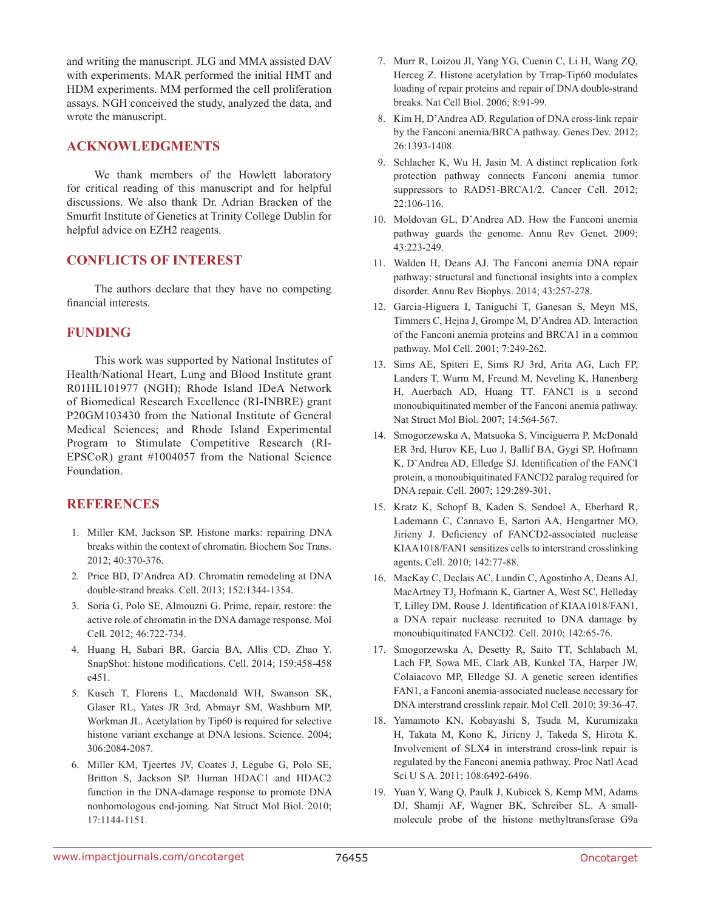and writing the manuscript. JLG and MMA assisted DAV with experiments. MAR performed the initial HMT and HDM experiments. MM performed the cell proliferation assays. NGH conceived the study, analyzed the data, and wrote the manuscript.

# **ACKNOWLEDGMENTS**

We thank members of the Howlett laboratory for critical reading of this manuscript and for helpful discussions. We also thank Dr. Adrian Bracken of the Smurfit Institute of Genetics at Trinity College Dublin for helpful advice on EZH2 reagents.

# **CONFLICTS OF INTEREST**

The authors declare that they have no competing financial interests.

# **FUNDING**

This work was supported by National Institutes of Health/National Heart, Lung and Blood Institute grant R01HL101977 (NGH); Rhode Island IDeA Network of Biomedical Research Excellence (RI-INBRE) grant P20GM103430 from the National Institute of General Medical Sciences; and Rhode Island Experimental Program to Stimulate Competitive Research (RI-EPSCoR) grant #1004057 from the National Science Foundation.

#### **REFERENCES**

- 1. Miller KM, Jackson SP. Histone marks: repairing DNA breaks within the context of chromatin. Biochem Soc Trans. 2012; 40:370-376.
- 2. Price BD, D'Andrea AD. Chromatin remodeling at DNA double-strand breaks. Cell. 2013; 152:1344-1354.
- 3. Soria G, Polo SE, Almouzni G. Prime, repair, restore: the active role of chromatin in the DNA damage response. Mol Cell. 2012; 46:722-734.
- 4. Huang H, Sabari BR, Garcia BA, Allis CD, Zhao Y. SnapShot: histone modifications. Cell. 2014; 159:458-458 e451.
- 5. Kusch T, Florens L, Macdonald WH, Swanson SK, Glaser RL, Yates JR 3rd, Abmayr SM, Washburn MP, Workman JL. Acetylation by Tip60 is required for selective histone variant exchange at DNA lesions. Science. 2004; 306:2084-2087.
- 6. Miller KM, Tjeertes JV, Coates J, Legube G, Polo SE, Britton S, Jackson SP. Human HDAC1 and HDAC2 function in the DNA-damage response to promote DNA nonhomologous end-joining. Nat Struct Mol Biol. 2010; 17:1144-1151.
- 7. Murr R, Loizou JI, Yang YG, Cuenin C, Li H, Wang ZQ, Herceg Z. Histone acetylation by Trrap-Tip60 modulates loading of repair proteins and repair of DNA double-strand breaks. Nat Cell Biol. 2006; 8:91-99.
- 8. Kim H, D'Andrea AD. Regulation of DNA cross-link repair by the Fanconi anemia/BRCA pathway. Genes Dev. 2012; 26:1393-1408.
- 9. Schlacher K, Wu H, Jasin M. A distinct replication fork protection pathway connects Fanconi anemia tumor suppressors to RAD51-BRCA1/2. Cancer Cell. 2012; 22:106-116.
- 10. Moldovan GL, D'Andrea AD. How the Fanconi anemia pathway guards the genome. Annu Rev Genet. 2009; 43:223-249.
- 11. Walden H, Deans AJ. The Fanconi anemia DNA repair pathway: structural and functional insights into a complex disorder. Annu Rev Biophys. 2014; 43:257-278.
- 12. Garcia-Higuera I, Taniguchi T, Ganesan S, Meyn MS, Timmers C, Hejna J, Grompe M, D'Andrea AD. Interaction of the Fanconi anemia proteins and BRCA1 in a common pathway. Mol Cell. 2001; 7:249-262.
- 13. Sims AE, Spiteri E, Sims RJ 3rd, Arita AG, Lach FP, Landers T, Wurm M, Freund M, Neveling K, Hanenberg H, Auerbach AD, Huang TT. FANCI is a second monoubiquitinated member of the Fanconi anemia pathway. Nat Struct Mol Biol. 2007; 14:564-567.
- 14. Smogorzewska A, Matsuoka S, Vinciguerra P, McDonald ER 3rd, Hurov KE, Luo J, Ballif BA, Gygi SP, Hofmann K, D'Andrea AD, Elledge SJ. Identification of the FANCI protein, a monoubiquitinated FANCD2 paralog required for DNA repair. Cell. 2007; 129:289-301.
- 15. Kratz K, Schopf B, Kaden S, Sendoel A, Eberhard R, Lademann C, Cannavo E, Sartori AA, Hengartner MO, Jiricny J. Deficiency of FANCD2-associated nuclease KIAA1018/FAN1 sensitizes cells to interstrand crosslinking agents. Cell. 2010; 142:77-88.
- 16. MacKay C, Declais AC, Lundin C, Agostinho A, Deans AJ, MacArtney TJ, Hofmann K, Gartner A, West SC, Helleday T, Lilley DM, Rouse J. Identification of KIAA1018/FAN1, a DNA repair nuclease recruited to DNA damage by monoubiquitinated FANCD2. Cell. 2010; 142:65-76.
- 17. Smogorzewska A, Desetty R, Saito TT, Schlabach M, Lach FP, Sowa ME, Clark AB, Kunkel TA, Harper JW, Colaiacovo MP, Elledge SJ. A genetic screen identifies FAN1, a Fanconi anemia-associated nuclease necessary for DNA interstrand crosslink repair. Mol Cell. 2010; 39:36-47.
- 18. Yamamoto KN, Kobayashi S, Tsuda M, Kurumizaka H, Takata M, Kono K, Jiricny J, Takeda S, Hirota K. Involvement of SLX4 in interstrand cross-link repair is regulated by the Fanconi anemia pathway. Proc Natl Acad Sci U S A. 2011; 108:6492-6496.
- 19. Yuan Y, Wang Q, Paulk J, Kubicek S, Kemp MM, Adams DJ, Shamji AF, Wagner BK, Schreiber SL. A smallmolecule probe of the histone methyltransferase G9a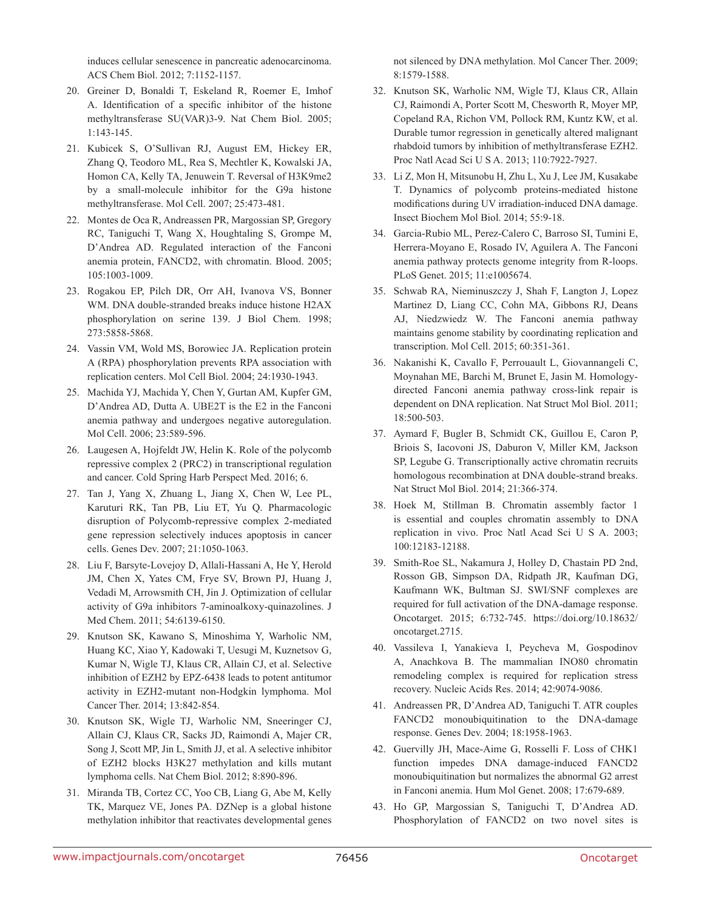induces cellular senescence in pancreatic adenocarcinoma. ACS Chem Biol. 2012; 7:1152-1157.

- 20. Greiner D, Bonaldi T, Eskeland R, Roemer E, Imhof A. Identification of a specific inhibitor of the histone methyltransferase SU(VAR)3-9. Nat Chem Biol. 2005; 1:143-145.
- 21. Kubicek S, O'Sullivan RJ, August EM, Hickey ER, Zhang Q, Teodoro ML, Rea S, Mechtler K, Kowalski JA, Homon CA, Kelly TA, Jenuwein T. Reversal of H3K9me2 by a small-molecule inhibitor for the G9a histone methyltransferase. Mol Cell. 2007; 25:473-481.
- 22. Montes de Oca R, Andreassen PR, Margossian SP, Gregory RC, Taniguchi T, Wang X, Houghtaling S, Grompe M, D'Andrea AD. Regulated interaction of the Fanconi anemia protein, FANCD2, with chromatin. Blood. 2005; 105:1003-1009.
- 23. Rogakou EP, Pilch DR, Orr AH, Ivanova VS, Bonner WM. DNA double-stranded breaks induce histone H2AX phosphorylation on serine 139. J Biol Chem. 1998; 273:5858-5868.
- 24. Vassin VM, Wold MS, Borowiec JA. Replication protein A (RPA) phosphorylation prevents RPA association with replication centers. Mol Cell Biol. 2004; 24:1930-1943.
- 25. Machida YJ, Machida Y, Chen Y, Gurtan AM, Kupfer GM, D'Andrea AD, Dutta A. UBE2T is the E2 in the Fanconi anemia pathway and undergoes negative autoregulation. Mol Cell. 2006; 23:589-596.
- 26. Laugesen A, Hojfeldt JW, Helin K. Role of the polycomb repressive complex 2 (PRC2) in transcriptional regulation and cancer. Cold Spring Harb Perspect Med. 2016; 6.
- 27. Tan J, Yang X, Zhuang L, Jiang X, Chen W, Lee PL, Karuturi RK, Tan PB, Liu ET, Yu Q. Pharmacologic disruption of Polycomb-repressive complex 2-mediated gene repression selectively induces apoptosis in cancer cells. Genes Dev. 2007; 21:1050-1063.
- 28. Liu F, Barsyte-Lovejoy D, Allali-Hassani A, He Y, Herold JM, Chen X, Yates CM, Frye SV, Brown PJ, Huang J, Vedadi M, Arrowsmith CH, Jin J. Optimization of cellular activity of G9a inhibitors 7-aminoalkoxy-quinazolines. J Med Chem. 2011; 54:6139-6150.
- 29. Knutson SK, Kawano S, Minoshima Y, Warholic NM, Huang KC, Xiao Y, Kadowaki T, Uesugi M, Kuznetsov G, Kumar N, Wigle TJ, Klaus CR, Allain CJ, et al. Selective inhibition of EZH2 by EPZ-6438 leads to potent antitumor activity in EZH2-mutant non-Hodgkin lymphoma. Mol Cancer Ther. 2014; 13:842-854.
- 30. Knutson SK, Wigle TJ, Warholic NM, Sneeringer CJ, Allain CJ, Klaus CR, Sacks JD, Raimondi A, Majer CR, Song J, Scott MP, Jin L, Smith JJ, et al. A selective inhibitor of EZH2 blocks H3K27 methylation and kills mutant lymphoma cells. Nat Chem Biol. 2012; 8:890-896.
- 31. Miranda TB, Cortez CC, Yoo CB, Liang G, Abe M, Kelly TK, Marquez VE, Jones PA. DZNep is a global histone methylation inhibitor that reactivates developmental genes

not silenced by DNA methylation. Mol Cancer Ther. 2009; 8:1579-1588.

- 32. Knutson SK, Warholic NM, Wigle TJ, Klaus CR, Allain CJ, Raimondi A, Porter Scott M, Chesworth R, Moyer MP, Copeland RA, Richon VM, Pollock RM, Kuntz KW, et al. Durable tumor regression in genetically altered malignant rhabdoid tumors by inhibition of methyltransferase EZH2. Proc Natl Acad Sci U S A. 2013; 110:7922-7927.
- 33. Li Z, Mon H, Mitsunobu H, Zhu L, Xu J, Lee JM, Kusakabe T. Dynamics of polycomb proteins-mediated histone modifications during UV irradiation-induced DNA damage. Insect Biochem Mol Biol. 2014; 55:9-18.
- 34. Garcia-Rubio ML, Perez-Calero C, Barroso SI, Tumini E, Herrera-Moyano E, Rosado IV, Aguilera A. The Fanconi anemia pathway protects genome integrity from R-loops. PLoS Genet. 2015; 11:e1005674.
- 35. Schwab RA, Nieminuszczy J, Shah F, Langton J, Lopez Martinez D, Liang CC, Cohn MA, Gibbons RJ, Deans AJ, Niedzwiedz W. The Fanconi anemia pathway maintains genome stability by coordinating replication and transcription. Mol Cell. 2015; 60:351-361.
- 36. Nakanishi K, Cavallo F, Perrouault L, Giovannangeli C, Moynahan ME, Barchi M, Brunet E, Jasin M. Homologydirected Fanconi anemia pathway cross-link repair is dependent on DNA replication. Nat Struct Mol Biol. 2011; 18:500-503.
- 37. Aymard F, Bugler B, Schmidt CK, Guillou E, Caron P, Briois S, Iacovoni JS, Daburon V, Miller KM, Jackson SP, Legube G. Transcriptionally active chromatin recruits homologous recombination at DNA double-strand breaks. Nat Struct Mol Biol. 2014; 21:366-374.
- 38. Hoek M, Stillman B. Chromatin assembly factor 1 is essential and couples chromatin assembly to DNA replication in vivo. Proc Natl Acad Sci U S A. 2003; 100:12183-12188.
- 39. Smith-Roe SL, Nakamura J, Holley D, Chastain PD 2nd, Rosson GB, Simpson DA, Ridpath JR, Kaufman DG, Kaufmann WK, Bultman SJ. SWI/SNF complexes are required for full activation of the DNA-damage response. Oncotarget. 2015; 6:732-745. https://doi.org/10.18632/ oncotarget.2715.
- 40. Vassileva I, Yanakieva I, Peycheva M, Gospodinov A, Anachkova B. The mammalian INO80 chromatin remodeling complex is required for replication stress recovery. Nucleic Acids Res. 2014; 42:9074-9086.
- 41. Andreassen PR, D'Andrea AD, Taniguchi T. ATR couples FANCD2 monoubiquitination to the DNA-damage response. Genes Dev. 2004; 18:1958-1963.
- 42. Guervilly JH, Mace-Aime G, Rosselli F. Loss of CHK1 function impedes DNA damage-induced FANCD2 monoubiquitination but normalizes the abnormal G2 arrest in Fanconi anemia. Hum Mol Genet. 2008; 17:679-689.
- 43. Ho GP, Margossian S, Taniguchi T, D'Andrea AD. Phosphorylation of FANCD2 on two novel sites is